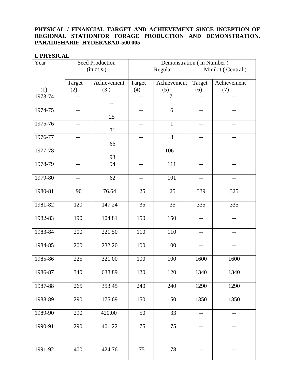## **PHYSICAL / FINANCIAL TARGET AND ACHIEVEMENT SINCE INCEPTION OF REGIONAL STATIONFOR FORAGE PRODUCTION AND DEMONSTRATION, PAHADISHARIF, HYDERABAD-500 005**

## **I. PHYSICAL**

| Year        | Seed Production |             | Demonstration (in Number) |              |                                               |                                       |
|-------------|-----------------|-------------|---------------------------|--------------|-----------------------------------------------|---------------------------------------|
|             |                 | (in qtls.)  |                           | Regular      | Minikit (Central)                             |                                       |
|             | Target          | Achievement | Target                    | Achievement  | Target                                        | Achievement                           |
| (1)         | (2)             | (3)         | (4)                       | (5)          | (6)                                           | (7)                                   |
| 1973-74     | $-$             | $-$         | $- -$                     | 17           | $\qquad \qquad -$                             | $-$                                   |
| 1974-75     | $-$             | 25          | $-$                       | 6            | $-$                                           | $-$                                   |
| 1975-76     | $- -$           | 31          | $-\!$ –                   | $\mathbf{1}$ | $- -$                                         | $\qquad \qquad -$                     |
| $1976 - 77$ | $-$             | 66          | $-$                       | 8            | $-$                                           | $-$                                   |
| 1977-78     | $-$             | 93          | $-$                       | 106          | $-$                                           | $-$                                   |
| 1978-79     | $- -$           | 94          | $-\!$ –                   | 111          | $- -$                                         | $\hspace{0.05cm}$ – $\hspace{0.05cm}$ |
| 1979-80     | $- -$           | 62          | $\qquad \qquad -$         | 101          | $-$                                           | $-$                                   |
| 1980-81     | 90              | 76.64       | 25                        | 25           | 339                                           | 325                                   |
| 1981-82     | 120             | 147.24      | 35                        | 35           | 335                                           | 335                                   |
| 1982-83     | 190             | 104.81      | 150                       | 150          | $-$                                           | $-$                                   |
| 1983-84     | 200             | 221.50      | 110                       | 110          | $-$                                           | $-$                                   |
| 1984-85     | 200             | 232.20      | 100                       | 100          | $\mathord{\hspace{1pt}\text{--}\hspace{1pt}}$ | $-$                                   |
| 1985-86     | 225             | 321.00      | 100                       | 100          | 1600                                          | 1600                                  |
| 1986-87     | 340             | 638.89      | 120                       | 120          | 1340                                          | 1340                                  |
| 1987-88     | 265             | 353.45      | 240                       | 240          | 1290                                          | 1290                                  |
| 1988-89     | 290             | 175.69      | 150                       | 150          | 1350                                          | 1350                                  |
| 1989-90     | 290             | 420.00      | 50                        | 33           | $-\,-$                                        | --                                    |
| 1990-91     | 290             | 401.22      | 75                        | 75           | $\qquad \qquad -$                             | $-\!$ –                               |
| 1991-92     | 400             | 424.76      | 75                        | 78           | $\qquad \qquad -$                             | $\qquad \qquad -$                     |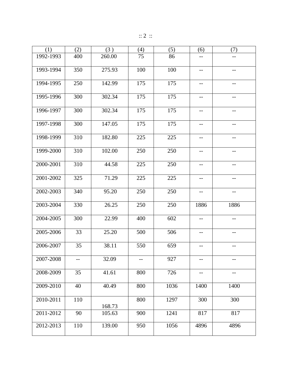|  | $\therefore$ 2 $\therefore$ |  |
|--|-----------------------------|--|
|  |                             |  |

| (1)           | (2) | (3)    | (4) | (5)  | (6)               | (7)               |
|---------------|-----|--------|-----|------|-------------------|-------------------|
| 1992-1993     | 400 | 260.00 | 75  | 86   | $-$               | --                |
| 1993-1994     | 350 | 275.93 | 100 | 100  | $\qquad \qquad -$ | $\qquad \qquad -$ |
| 1994-1995     | 250 | 142.99 | 175 | 175  | $-$               | --                |
| 1995-1996     | 300 | 302.34 | 175 | 175  | $- -$             | $--$              |
| 1996-1997     | 300 | 302.34 | 175 | 175  | $-$               | --                |
| 1997-1998     | 300 | 147.05 | 175 | 175  | $--$              | --                |
| 1998-1999     | 310 | 182.80 | 225 | 225  | $-\,-$            | $\qquad \qquad -$ |
| 1999-2000     | 310 | 102.00 | 250 | 250  | $\qquad \qquad -$ | $-$               |
| 2000-2001     | 310 | 44.58  | 225 | 250  | $-$               | --                |
| 2001-2002     | 325 | 71.29  | 225 | 225  | $\qquad \qquad -$ | $\qquad \qquad -$ |
| 2002-2003     | 340 | 95.20  | 250 | 250  | $\qquad \qquad -$ | $--$              |
| 2003-2004     | 330 | 26.25  | 250 | 250  | 1886              | 1886              |
| 2004-2005     | 300 | 22.99  | 400 | 602  | $-$               | $-$               |
| 2005-2006     | 33  | 25.20  | 500 | 506  | $- -$             | $-$               |
| 2006-2007     | 35  | 38.11  | 550 | 659  | $\qquad \qquad -$ | $\qquad \qquad -$ |
| 2007-2008     |     | 32.09  |     | 927  |                   |                   |
| 2008-2009     | 35  | 41.61  | 800 | 726  | $-$               | $-$               |
| 2009-2010     | 40  | 40.49  | 800 | 1036 | 1400              | 1400              |
| 2010-2011     | 110 | 168.73 | 800 | 1297 | 300               | 300               |
| 2011-2012     | 90  | 105.63 | 900 | 1241 | 817               | 817               |
| $2012 - 2013$ | 110 | 139.00 | 950 | 1056 | 4896              | 4896              |